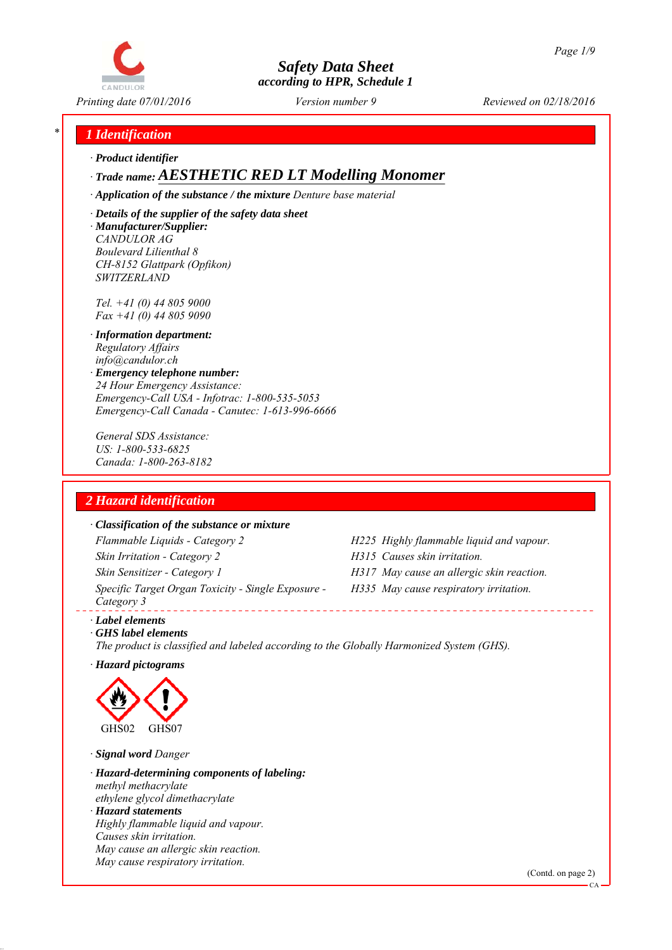

*Printing date 07/01/2016 Reviewed on 02/18/2016 Version number 9*

## *\* 1 Identification*

*∙ Product identifier*

*∙ Trade name: AESTHETIC RED LT Modelling Monomer*

*∙ Application of the substance / the mixture Denture base material*

*∙ Details of the supplier of the safety data sheet ∙ Manufacturer/Supplier: CANDULOR AG Boulevard Lilienthal 8 CH-8152 Glattpark (Opfikon) SWITZERLAND*

*Tel. +41 (0) 44 805 9000 Fax +41 (0) 44 805 9090*

- *∙ Information department: Regulatory Affairs info@candulor.ch*
- *∙ Emergency telephone number: 24 Hour Emergency Assistance: Emergency-Call USA - Infotrac: 1-800-535-5053 Emergency-Call Canada - Canutec: 1-613-996-6666*

*General SDS Assistance: US: 1-800-533-6825 Canada: 1-800-263-8182*

# *2 Hazard identification*

#### *∙ Classification of the substance or mixture*

*Flammable Liquids - Category 2 H225 Highly flammable liquid and vapour. Skin Irritation - Category 2 H315 Causes skin irritation. Skin Sensitizer - Category 1 H317 May cause an allergic skin reaction. Specific Target Organ Toxicity - Single Exposure - Category 3* 

- 
- 
- *H335 May cause respiratory irritation.*

*∙ Label elements*

*∙ GHS label elements The product is classified and labeled according to the Globally Harmonized System (GHS).*

*∙ Hazard pictograms*



*∙ Signal word Danger*

*∙ Hazard-determining components of labeling: methyl methacrylate ethylene glycol dimethacrylate ∙ Hazard statements Highly flammable liquid and vapour. Causes skin irritation. May cause an allergic skin reaction. May cause respiratory irritation.*

(Contd. on page 2)

CA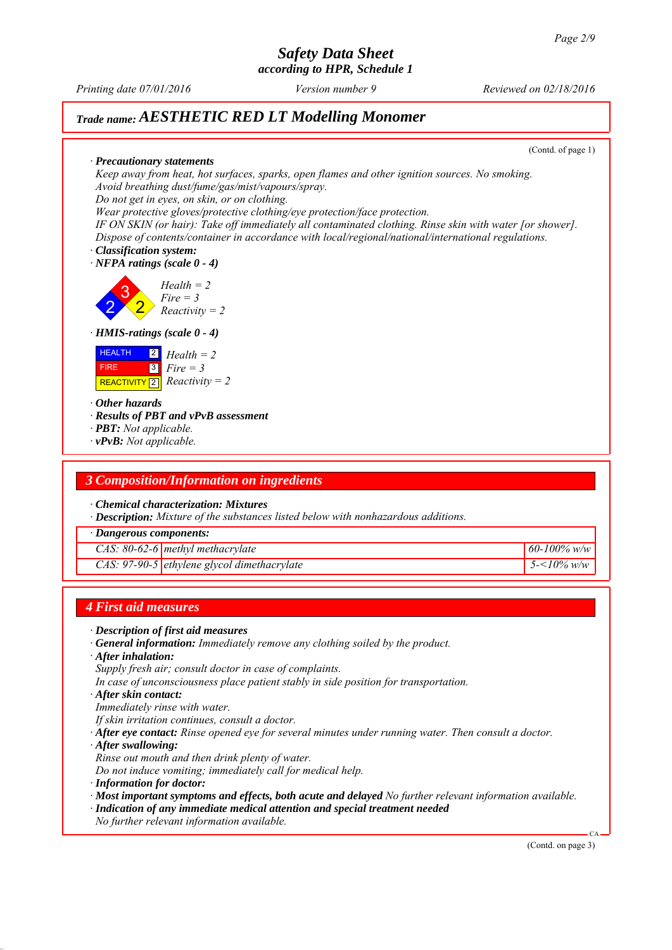*according to HPR, Schedule 1*

*Printing date 07/01/2016 Reviewed on 02/18/2016 Version number 9*

# *Trade name: AESTHETIC RED LT Modelling Monomer*

(Contd. of page 1)

*∙ Precautionary statements Keep away from heat, hot surfaces, sparks, open flames and other ignition sources. No smoking. Avoid breathing dust/fume/gas/mist/vapours/spray. Do not get in eyes, on skin, or on clothing.*

*Wear protective gloves/protective clothing/eye protection/face protection.*

*IF ON SKIN (or hair): Take off immediately all contaminated clothing. Rinse skin with water [or shower]. Dispose of contents/container in accordance with local/regional/national/international regulations.*

*∙ Classification system: ∙ NFPA ratings (scale 0 - 4)*

2 3 2 *Health = 2 Fire = 3 Reactivity = 2*

*∙ HMIS-ratings (scale 0 - 4)*



*∙ Other hazards*

*∙ Results of PBT and vPvB assessment*

- *∙ PBT: Not applicable.*
- *∙ vPvB: Not applicable.*

### *3 Composition/Information on ingredients*

*∙ Chemical characterization: Mixtures*

*∙ Description: Mixture of the substances listed below with nonhazardous additions.*

*∙ Dangerous components:*

*CAS: 80-62-6 methyl methacrylate 60-100% w/w*

*CAS: 97-90-5 ethylene glycol dimethacrylate 5-<10% w/w*

### *4 First aid measures*

- *∙ Description of first aid measures*
- *∙ General information: Immediately remove any clothing soiled by the product.*
- *∙ After inhalation:*
- *Supply fresh air; consult doctor in case of complaints.*
- *In case of unconsciousness place patient stably in side position for transportation.*
- *∙ After skin contact:*
- *Immediately rinse with water.*
- *If skin irritation continues, consult a doctor.*
- *∙ After eye contact: Rinse opened eye for several minutes under running water. Then consult a doctor.*
- *∙ After swallowing:*
- *Rinse out mouth and then drink plenty of water.*
- *Do not induce vomiting; immediately call for medical help.*
- *∙ Information for doctor:*
- *∙ Most important symptoms and effects, both acute and delayed No further relevant information available.*
- *∙ Indication of any immediate medical attention and special treatment needed*
- *No further relevant information available.*

(Contd. on page 3)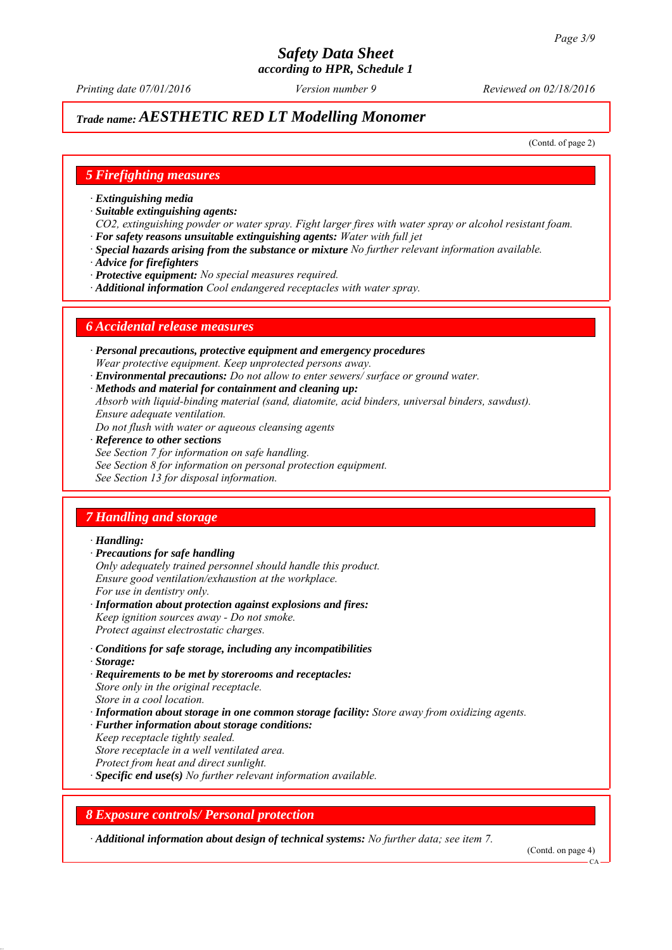# *Trade name: AESTHETIC RED LT Modelling Monomer*

(Contd. of page 2)

### *5 Firefighting measures*

- *∙ Extinguishing media*
- *∙ Suitable extinguishing agents:*
- *CO2, extinguishing powder or water spray. Fight larger fires with water spray or alcohol resistant foam. ∙ For safety reasons unsuitable extinguishing agents: Water with full jet*
- *∙ Special hazards arising from the substance or mixture No further relevant information available.*
- *∙ Advice for firefighters*
- *∙ Protective equipment: No special measures required.*
- *∙ Additional information Cool endangered receptacles with water spray.*

#### *6 Accidental release measures*

- *∙ Personal precautions, protective equipment and emergency procedures Wear protective equipment. Keep unprotected persons away.*
- *∙ Environmental precautions: Do not allow to enter sewers/ surface or ground water.*
- *∙ Methods and material for containment and cleaning up:*
- *Absorb with liquid-binding material (sand, diatomite, acid binders, universal binders, sawdust). Ensure adequate ventilation.*
- *Do not flush with water or aqueous cleansing agents*
- *∙ Reference to other sections*
- *See Section 7 for information on safe handling.*
- *See Section 8 for information on personal protection equipment.*
- *See Section 13 for disposal information.*

## *7 Handling and storage*

#### *∙ Handling:*

- *∙ Precautions for safe handling*
- *Only adequately trained personnel should handle this product. Ensure good ventilation/exhaustion at the workplace. For use in dentistry only.*
- *∙ Information about protection against explosions and fires: Keep ignition sources away - Do not smoke. Protect against electrostatic charges.*
- *∙ Conditions for safe storage, including any incompatibilities*
- *∙ Storage:*
- *∙ Requirements to be met by storerooms and receptacles: Store only in the original receptacle. Store in a cool location.*
- *∙ Information about storage in one common storage facility: Store away from oxidizing agents.*
- *∙ Further information about storage conditions:*
- *Keep receptacle tightly sealed.*
- *Store receptacle in a well ventilated area.*
- *Protect from heat and direct sunlight.*
- *∙ Specific end use(s) No further relevant information available.*

### *8 Exposure controls/ Personal protection*

*∙ Additional information about design of technical systems: No further data; see item 7.*

(Contd. on page 4)

 $CA$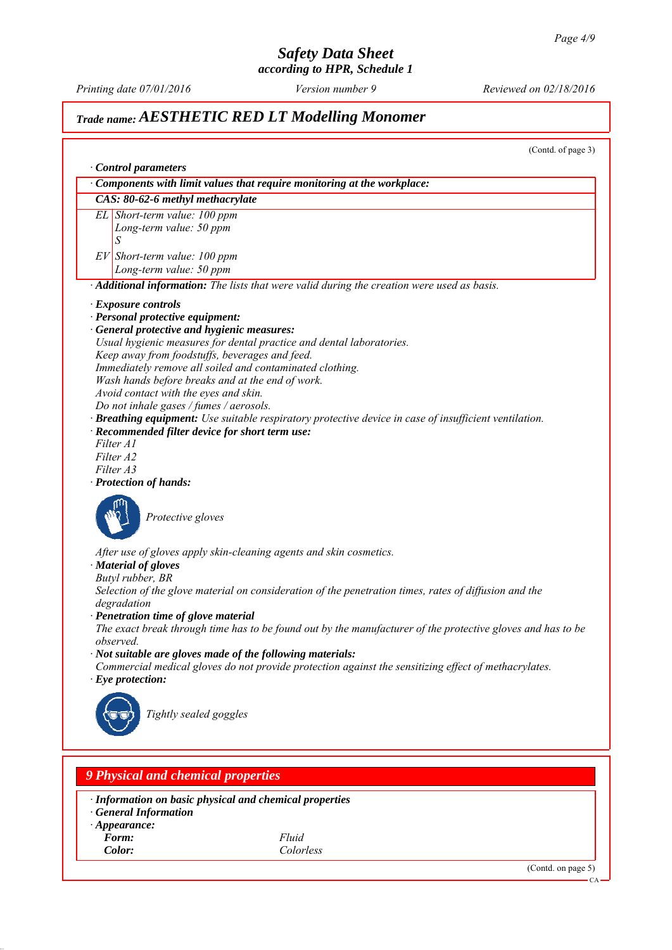*according to HPR, Schedule 1*

*Printing date 07/01/2016 Reviewed on 02/18/2016 Version number 9*

# *Trade name: AESTHETIC RED LT Modelling Monomer*

(Contd. of page 3) *∙ Control parameters ∙ Components with limit values that require monitoring at the workplace: CAS: 80-62-6 methyl methacrylate EL Short-term value: 100 ppm Long-term value: 50 ppm S EV Short-term value: 100 ppm Long-term value: 50 ppm ∙ Additional information: The lists that were valid during the creation were used as basis. ∙ Exposure controls ∙ Personal protective equipment: ∙ General protective and hygienic measures: Usual hygienic measures for dental practice and dental laboratories. Keep away from foodstuffs, beverages and feed. Immediately remove all soiled and contaminated clothing. Wash hands before breaks and at the end of work. Avoid contact with the eyes and skin. Do not inhale gases / fumes / aerosols. ∙ Breathing equipment: Use suitable respiratory protective device in case of insufficient ventilation. ∙ Recommended filter device for short term use: Filter A1 Filter A2 Filter A3 ∙ Protection of hands: Protective gloves After use of gloves apply skin-cleaning agents and skin cosmetics. ∙ Material of gloves Butyl rubber, BR Selection of the glove material on consideration of the penetration times, rates of diffusion and the degradation ∙ Penetration time of glove material The exact break through time has to be found out by the manufacturer of the protective gloves and has to be observed. ∙ Not suitable are gloves made of the following materials: Commercial medical gloves do not provide protection against the sensitizing effect of methacrylates. ∙ Eye protection: Tightly sealed goggles 9 Physical and chemical properties*

*∙ Information on basic physical and chemical properties*

- *∙ General Information*
- *∙ Appearance:*
- *Form: Fluid*

*Color: Colorless*

(Contd. on page 5)

CA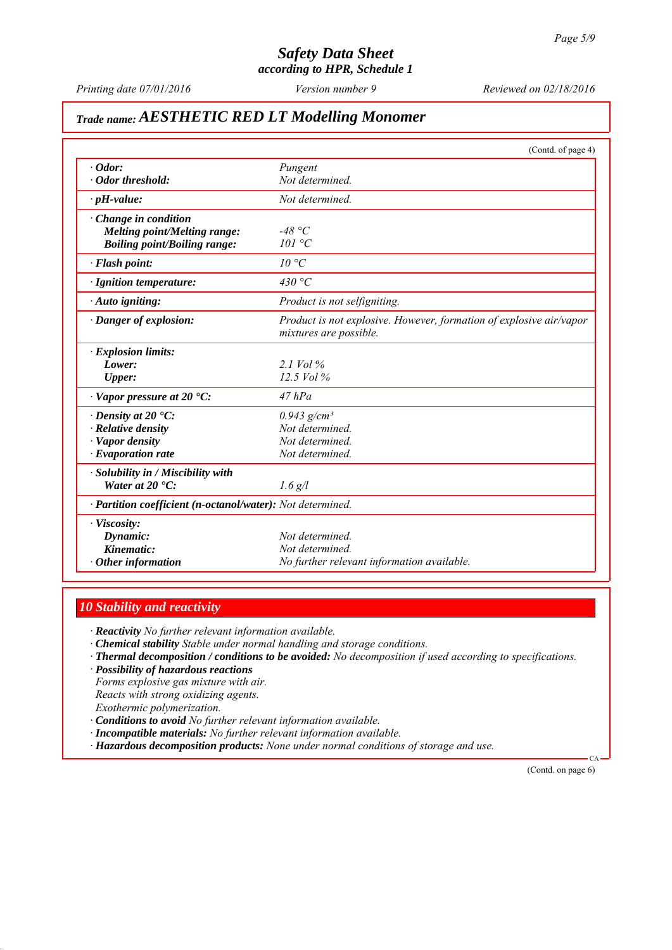*according to HPR, Schedule 1*

*Printing date 07/01/2016 Reviewed on 02/18/2016 Version number 9*

# *Trade name: AESTHETIC RED LT Modelling Monomer*

|                                                            | (Contd. of page 4)                                                                            |
|------------------------------------------------------------|-----------------------------------------------------------------------------------------------|
| $\cdot$ Odor:                                              | Pungent                                                                                       |
| · Odor threshold:                                          | Not determined.                                                                               |
| $\cdot$ pH-value:                                          | Not determined.                                                                               |
| $\cdot$ Change in condition                                |                                                                                               |
| <b>Melting point/Melting range:</b>                        | -48 °C                                                                                        |
| <b>Boiling point/Boiling range:</b>                        | 101 °C                                                                                        |
| · Flash point:                                             | $10^{\circ}C$                                                                                 |
| · Ignition temperature:                                    | 430 °C                                                                                        |
| · Auto igniting:                                           | Product is not selfigniting.                                                                  |
| · Danger of explosion:                                     | Product is not explosive. However, formation of explosive air/vapor<br>mixtures are possible. |
| $\cdot$ Explosion limits:                                  |                                                                                               |
| Lower:                                                     | 2.1 Vol $\%$                                                                                  |
| Upper:                                                     | 12.5 Vol %                                                                                    |
| $\cdot$ Vapor pressure at 20 $\cdot$ C:                    | $47$ $hPa$                                                                                    |
| $\cdot$ Density at 20 $\cdot$ C:                           | $0.943$ g/cm <sup>3</sup>                                                                     |
| $\cdot$ Relative density                                   | Not determined.                                                                               |
| · Vapor density                                            | Not determined.                                                                               |
| $\cdot$ Evaporation rate                                   | Not determined.                                                                               |
| · Solubility in / Miscibility with                         |                                                                                               |
| Water at $20 \text{ }^{\circ}C$ :                          | $1.6$ g/l                                                                                     |
| · Partition coefficient (n-octanol/water): Not determined. |                                                                                               |
| · Viscosity:                                               |                                                                                               |
| Dynamic:                                                   | Not determined.                                                                               |
| Kinematic:                                                 | Not determined.                                                                               |
| $\cdot$ Other information                                  | No further relevant information available.                                                    |

## *10 Stability and reactivity*

*∙ Reactivity No further relevant information available.*

- *∙ Chemical stability Stable under normal handling and storage conditions.*
- *∙ Thermal decomposition / conditions to be avoided: No decomposition if used according to specifications.*
- *∙ Possibility of hazardous reactions*

*Forms explosive gas mixture with air. Reacts with strong oxidizing agents. Exothermic polymerization.*

- *∙ Conditions to avoid No further relevant information available.*
- *∙ Incompatible materials: No further relevant information available.*
- *∙ Hazardous decomposition products: None under normal conditions of storage and use.*

(Contd. on page 6)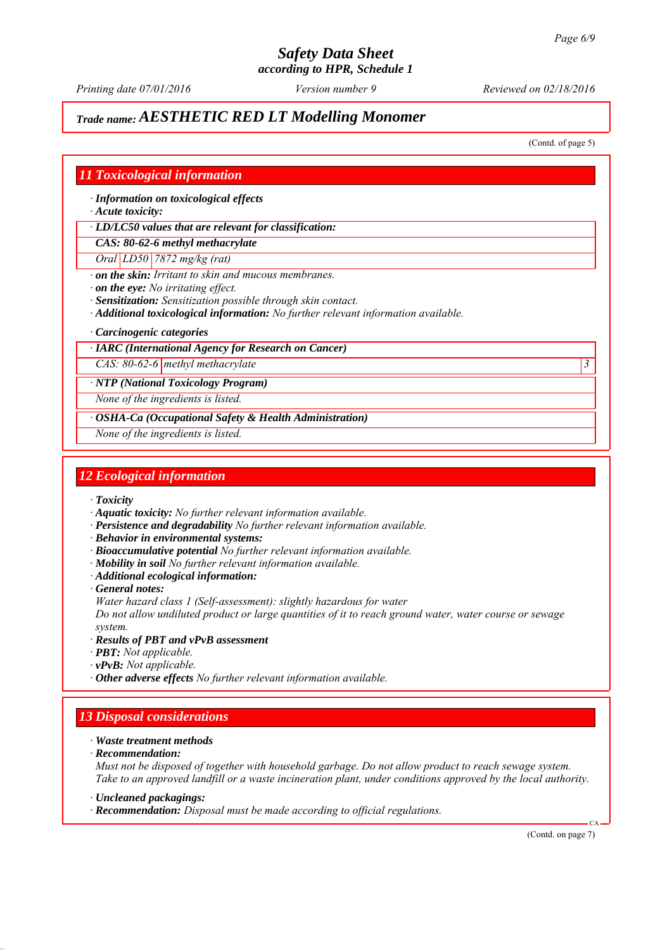*Printing date 07/01/2016 Reviewed on 02/18/2016 Version number 9*

# *Trade name: AESTHETIC RED LT Modelling Monomer*

(Contd. of page 5)

### *11 Toxicological information*

*∙ Information on toxicological effects*

*∙ Acute toxicity:*

*∙ LD/LC50 values that are relevant for classification:*

*CAS: 80-62-6 methyl methacrylate*

*Oral LD50 7872 mg/kg (rat)*

*∙ on the skin: Irritant to skin and mucous membranes.*

*∙ on the eye: No irritating effect.*

*∙ Sensitization: Sensitization possible through skin contact.*

- *∙ Additional toxicological information: No further relevant information available.*
- *∙ Carcinogenic categories*

#### *∙ IARC (International Agency for Research on Cancer)*

*CAS: 80-62-6 methyl methacrylate 3* 

*∙ NTP (National Toxicology Program)*

*None of the ingredients is listed.*

*∙ OSHA-Ca (Occupational Safety & Health Administration)*

*None of the ingredients is listed.*

### *12 Ecological information*

- *∙ Toxicity*
- *∙ Aquatic toxicity: No further relevant information available.*
- *∙ Persistence and degradability No further relevant information available.*
- *∙ Behavior in environmental systems:*
- *∙ Bioaccumulative potential No further relevant information available.*
- *∙ Mobility in soil No further relevant information available.*
- *∙ Additional ecological information:*
- *∙ General notes:*

*Water hazard class 1 (Self-assessment): slightly hazardous for water*

*Do not allow undiluted product or large quantities of it to reach ground water, water course or sewage system.*

- *∙ Results of PBT and vPvB assessment*
- *∙ PBT: Not applicable.*
- *∙ vPvB: Not applicable.*
- *∙ Other adverse effects No further relevant information available.*

## *13 Disposal considerations*

- *∙ Waste treatment methods*
- *∙ Recommendation:*

*Must not be disposed of together with household garbage. Do not allow product to reach sewage system. Take to an approved landfill or a waste incineration plant, under conditions approved by the local authority.*

*∙ Uncleaned packagings:*

*∙ Recommendation: Disposal must be made according to official regulations.*

(Contd. on page 7)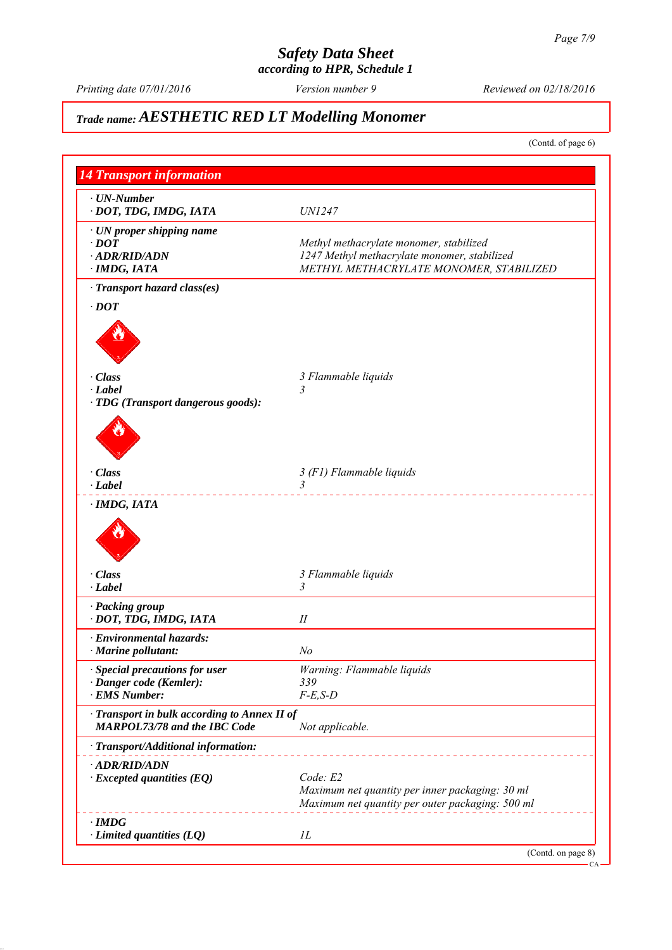*according to HPR, Schedule 1*

*Printing date 07/01/2016 Reviewed on 02/18/2016 Version number 9*

# *Trade name: AESTHETIC RED LT Modelling Monomer*

(Contd. of page 6)

| <b>14 Transport information</b>                                                     |                                                  |
|-------------------------------------------------------------------------------------|--------------------------------------------------|
| $\cdot$ UN-Number                                                                   |                                                  |
| · DOT, TDG, IMDG, IATA                                                              | <i>UN1247</i>                                    |
| · UN proper shipping name                                                           |                                                  |
| $\cdot$ DOT                                                                         | Methyl methacrylate monomer, stabilized          |
| · ADR/RID/ADN                                                                       | 1247 Methyl methacrylate monomer, stabilized     |
| · IMDG, IATA                                                                        | METHYL METHACRYLATE MONOMER, STABILIZED          |
| · Transport hazard class(es)                                                        |                                                  |
| $\cdot$ DOT                                                                         |                                                  |
|                                                                                     |                                                  |
|                                                                                     |                                                  |
|                                                                                     |                                                  |
|                                                                                     |                                                  |
| · Class                                                                             | 3 Flammable liquids                              |
| $\cdot$ Label                                                                       |                                                  |
| · TDG (Transport dangerous goods):                                                  |                                                  |
|                                                                                     |                                                  |
|                                                                                     |                                                  |
|                                                                                     |                                                  |
|                                                                                     |                                                  |
| · Class                                                                             | 3 (F1) Flammable liquids                         |
| $\cdot$ Label                                                                       | 3                                                |
| $\cdot$ IMDG, IATA                                                                  |                                                  |
|                                                                                     |                                                  |
|                                                                                     |                                                  |
|                                                                                     |                                                  |
|                                                                                     |                                                  |
| · Class                                                                             | 3 Flammable liquids                              |
| $\cdot$ Label                                                                       | 3                                                |
| · Packing group                                                                     |                                                  |
| · DOT, TDG, IMDG, IATA                                                              | П                                                |
| · Environmental hazards:                                                            |                                                  |
| $\cdot$ Marine pollutant:                                                           | No                                               |
| · Special precautions for user                                                      | Warning: Flammable liquids                       |
| · Danger code (Kemler):                                                             | 339                                              |
| · EMS Number:                                                                       | $F-E,S-D$                                        |
|                                                                                     |                                                  |
| · Transport in bulk according to Annex II of<br><b>MARPOL73/78 and the IBC Code</b> | Not applicable.                                  |
|                                                                                     |                                                  |
| · Transport/Additional information:                                                 |                                                  |
| · ADR/RID/ADN                                                                       |                                                  |
| $\cdot$ Excepted quantities (EQ)                                                    | Code: E2                                         |
|                                                                                     | Maximum net quantity per inner packaging: 30 ml  |
|                                                                                     | Maximum net quantity per outer packaging: 500 ml |
| $\cdot$ IMDG                                                                        |                                                  |
|                                                                                     |                                                  |
| $\cdot$ Limited quantities (LQ)                                                     | IL                                               |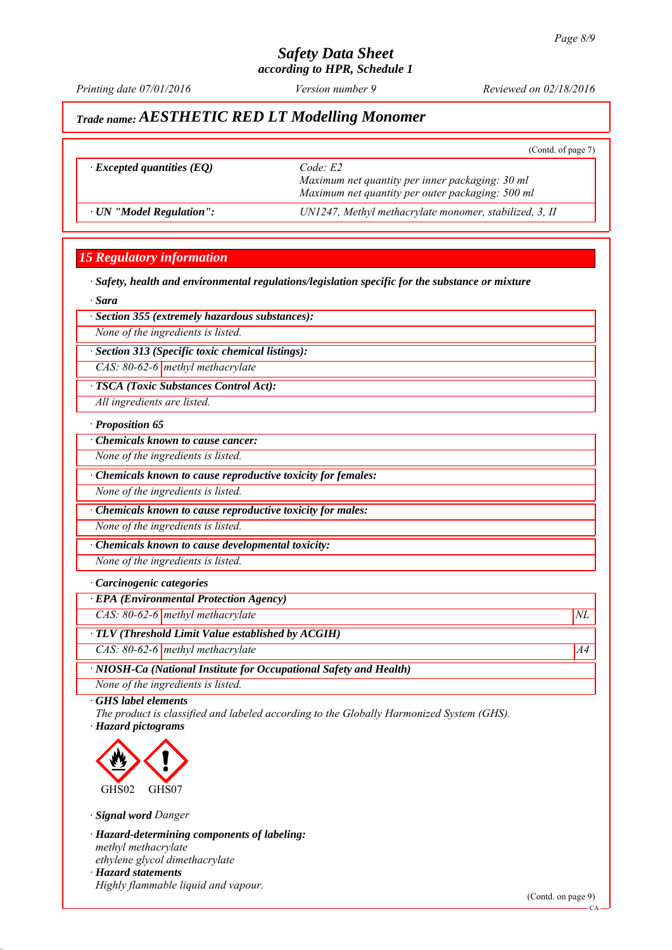*Printing date 07/01/2016 Reviewed on 02/18/2016 Version number 9*

(Contd. of page 7)

# *Trade name: AESTHETIC RED LT Modelling Monomer*

|  | <i>Excepted quantities (EQ)</i> |  |
|--|---------------------------------|--|
|--|---------------------------------|--|

 $Code: E2$ *Maximum net quantity per inner packaging: 30 ml Maximum net quantity per outer packaging: 500 ml ∙ UN "Model Regulation": UN1247, Methyl methacrylate monomer, stabilized, 3, II*

## *15 Regulatory information*

*∙ Safety, health and environmental regulations/legislation specific for the substance or mixture*

*∙ Sara*

#### *∙ Section 355 (extremely hazardous substances):*

*None of the ingredients is listed.*

*∙ Section 313 (Specific toxic chemical listings):*

*CAS: 80-62-6 methyl methacrylate*

*∙ TSCA (Toxic Substances Control Act):*

*All ingredients are listed.*

#### *∙ Proposition 65*

*∙ Chemicals known to cause cancer:*

*None of the ingredients is listed.*

*∙ Chemicals known to cause reproductive toxicity for females:*

*None of the ingredients is listed.*

*∙ Chemicals known to cause reproductive toxicity for males:*

*None of the ingredients is listed.*

*∙ Chemicals known to cause developmental toxicity:*

*None of the ingredients is listed.*

#### *∙ Carcinogenic categories*

*∙ EPA (Environmental Protection Agency)*

*CAS: 80-62-6 methyl methacrylate*  $NL$ 

*∙ TLV (Threshold Limit Value established by ACGIH)*

*CAS: 80-62-6 methyl methacrylate* A4<sup>4</sup>

*∙ NIOSH-Ca (National Institute for Occupational Safety and Health)*

*None of the ingredients is listed.*

*∙ GHS label elements*

*The product is classified and labeled according to the Globally Harmonized System (GHS). ∙ Hazard pictograms*



*∙ Signal word Danger*

*∙ Hazard-determining components of labeling: methyl methacrylate ethylene glycol dimethacrylate ∙ Hazard statements Highly flammable liquid and vapour.*

(Contd. on page 9)